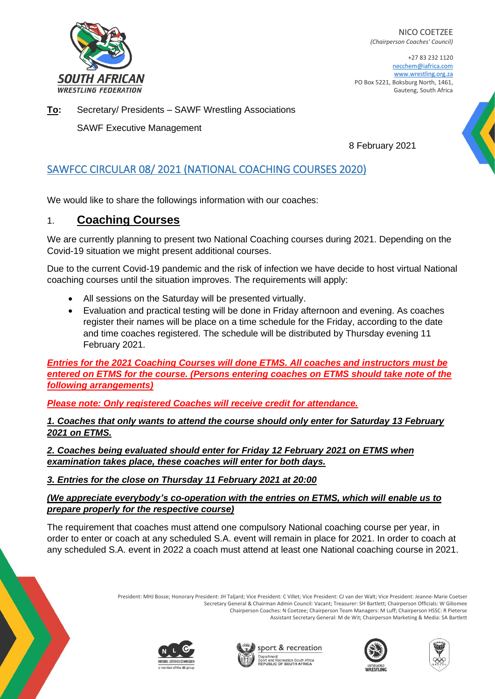

NICO COETZEE *(Chairperson Coaches' Council)*

+27 83 232 1120 necchem@iafrica.com www.wrestling.org.za PO Box 5221, Boksburg North, 1461, Gauteng, South Africa

**To:** Secretary/ Presidents – SAWF Wrestling Associations

SAWF Executive Management

8 February 2021

## SAWFCC CIRCULAR 08/ 2021 (NATIONAL COACHING COURSES 2020)

We would like to share the followings information with our coaches:

### 1. **Coaching Courses**

We are currently planning to present two National Coaching courses during 2021. Depending on the Covid-19 situation we might present additional courses.

Due to the current Covid-19 pandemic and the risk of infection we have decide to host virtual National coaching courses until the situation improves. The requirements will apply:

- All sessions on the Saturday will be presented virtually.
- Evaluation and practical testing will be done in Friday afternoon and evening. As coaches register their names will be place on a time schedule for the Friday, according to the date and time coaches registered. The schedule will be distributed by Thursday evening 11 February 2021.

*Entries for the 2021 Coaching Courses will done ETMS. All coaches and instructors must be entered on ETMS for the course. (Persons entering coaches on ETMS should take note of the following arrangements)* 

*Please note: Only registered Coaches will receive credit for attendance.* 

*1. Coaches that only wants to attend the course should only enter for Saturday 13 February 2021 on ETMS.*

*2. Coaches being evaluated should enter for Friday 12 February 2021 on ETMS when examination takes place, these coaches will enter for both days.* 

### *3. Entries for the close on Thursday 11 February 2021 at 20:00*

*(We appreciate everybody's co-operation with the entries on ETMS, which will enable us to prepare properly for the respective course)*

The requirement that coaches must attend one compulsory National coaching course per year, in order to enter or coach at any scheduled S.A. event will remain in place for 2021. In order to coach at any scheduled S.A. event in 2022 a coach must attend at least one National coaching course in 2021.

> President: MHJ Bosse; Honorary President: JH Taljard; Vice President: C Villet; Vice President: CJ van der Walt; Vice President: Jeanne-Marie Coetser Secretary General & Chairman Admin Council: Vacant; Treasurer: SH Bartlett; Chairperson Officials: W Giliomee Chairperson Coaches: N Coetzee; Chairperson Team Managers: M Luff; Chairperson HSSC: R Pieterse Assistant Secretary General: M de Wit; Chairperson Marketing & Media: SA Bartlett









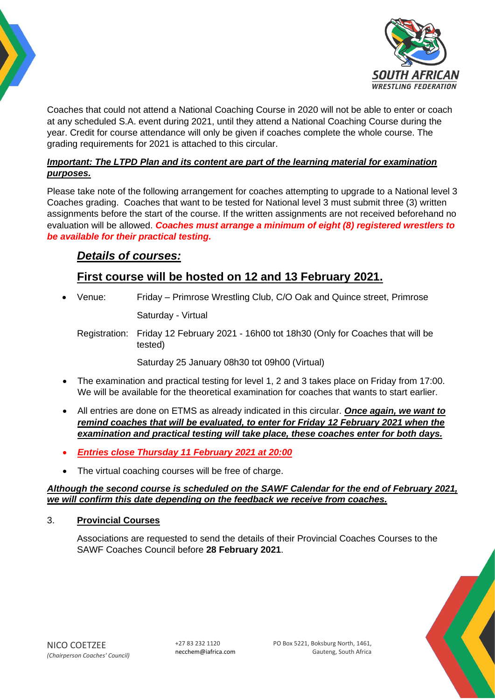



Coaches that could not attend a National Coaching Course in 2020 will not be able to enter or coach at any scheduled S.A. event during 2021, until they attend a National Coaching Course during the year. Credit for course attendance will only be given if coaches complete the whole course. The grading requirements for 2021 is attached to this circular.

### *Important: The LTPD Plan and its content are part of the learning material for examination purposes.*

Please take note of the following arrangement for coaches attempting to upgrade to a National level 3 Coaches grading. Coaches that want to be tested for National level 3 must submit three (3) written assignments before the start of the course. If the written assignments are not received beforehand no evaluation will be allowed. *Coaches must arrange a minimum of eight (8) registered wrestlers to be available for their practical testing.*

# *Details of courses:*

# **First course will be hosted on 12 and 13 February 2021.**

• Venue: Friday – Primrose Wrestling Club, C/O Oak and Quince street, Primrose Saturday - Virtual

Registration: Friday 12 February 2021 - 16h00 tot 18h30 (Only for Coaches that will be tested)

Saturday 25 January 08h30 tot 09h00 (Virtual)

- The examination and practical testing for level 1, 2 and 3 takes place on Friday from 17:00. We will be available for the theoretical examination for coaches that wants to start earlier.
- All entries are done on ETMS as already indicated in this circular. *Once again, we want to remind coaches that will be evaluated, to enter for Friday 12 February 2021 when the examination and practical testing will take place, these coaches enter for both days.*
- *Entries close Thursday 11 February 2021 at 20:00*
- The virtual coaching courses will be free of charge.

### *Although the second course is scheduled on the SAWF Calendar for the end of February 2021, we will confirm this date depending on the feedback we receive from coaches.*

### 3. **Provincial Courses**

Associations are requested to send the details of their Provincial Coaches Courses to the SAWF Coaches Council before **28 February 2021**.